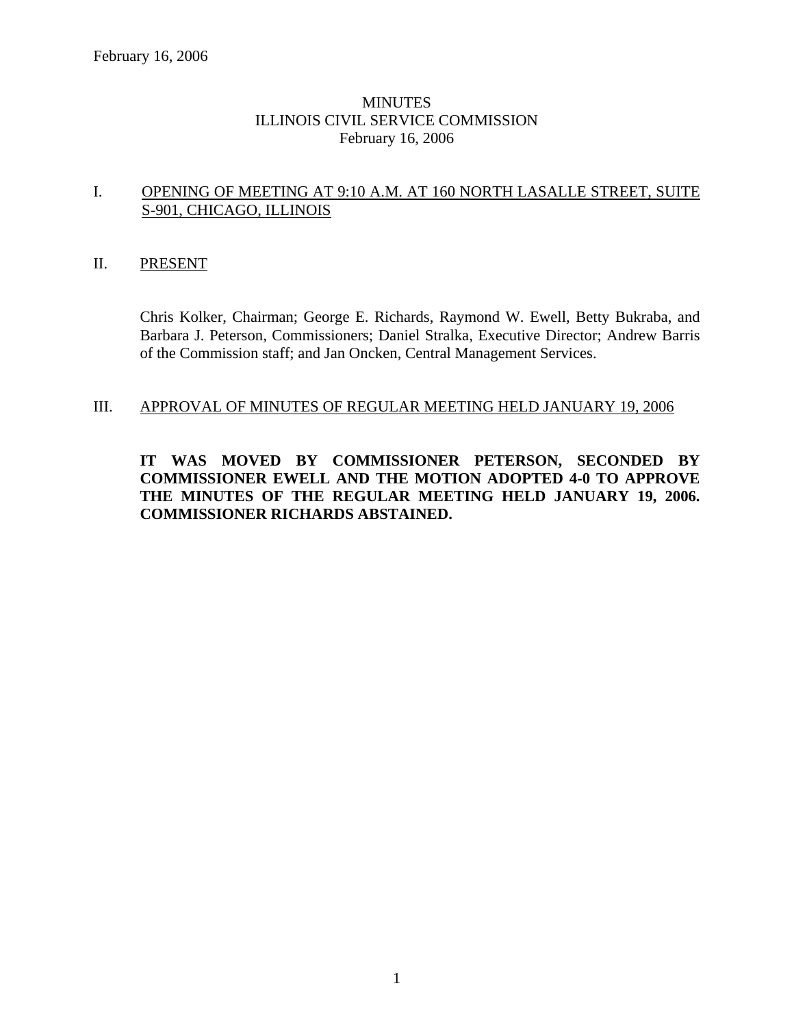### **MINUTES** ILLINOIS CIVIL SERVICE COMMISSION February 16, 2006

### I. OPENING OF MEETING AT 9:10 A.M. AT 160 NORTH LASALLE STREET, SUITE S-901, CHICAGO, ILLINOIS

### II. PRESENT

Chris Kolker, Chairman; George E. Richards, Raymond W. Ewell, Betty Bukraba, and Barbara J. Peterson, Commissioners; Daniel Stralka, Executive Director; Andrew Barris of the Commission staff; and Jan Oncken, Central Management Services.

### III. APPROVAL OF MINUTES OF REGULAR MEETING HELD JANUARY 19, 2006

**IT WAS MOVED BY COMMISSIONER PETERSON, SECONDED BY COMMISSIONER EWELL AND THE MOTION ADOPTED 4-0 TO APPROVE THE MINUTES OF THE REGULAR MEETING HELD JANUARY 19, 2006. COMMISSIONER RICHARDS ABSTAINED.**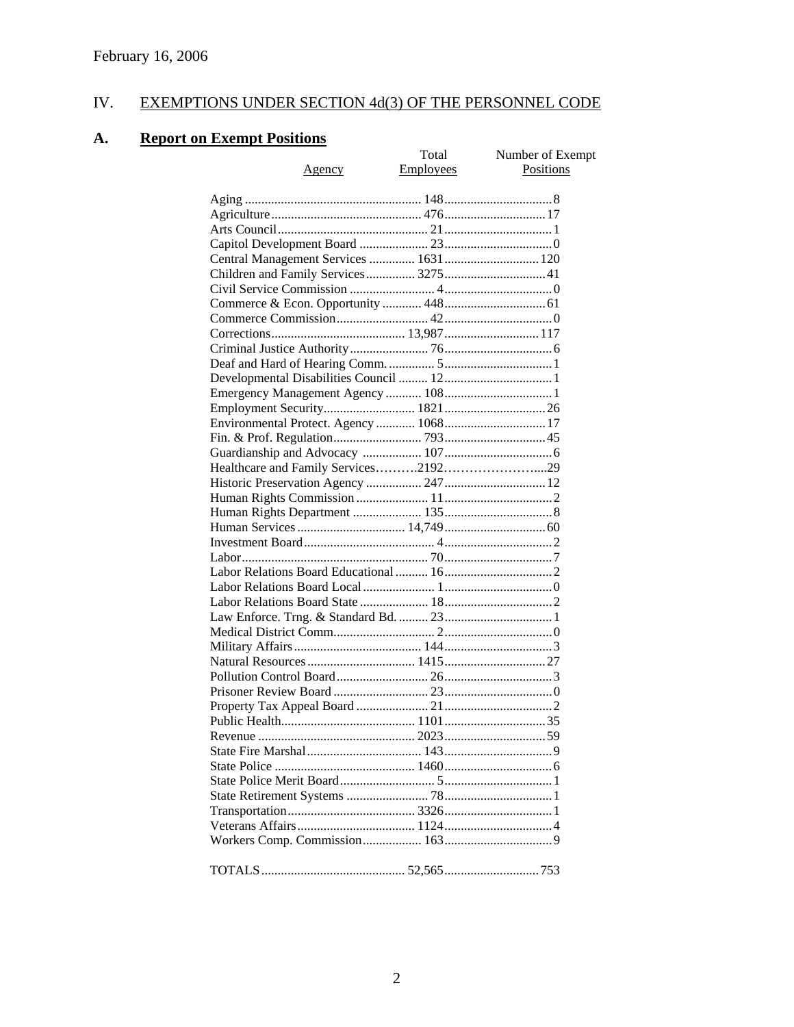# IV. EXEMPTIONS UNDER SECTION 4d(3) OF THE PERSONNEL CODE

# **A. Report on Exempt Positions**

| <u>Exemple fositions</u>               |           |                  |
|----------------------------------------|-----------|------------------|
|                                        | Total     | Number of Exempt |
| <u>Agency</u>                          | Employees | <b>Positions</b> |
|                                        |           |                  |
|                                        |           |                  |
|                                        |           |                  |
|                                        |           |                  |
|                                        |           |                  |
|                                        |           |                  |
| Children and Family Services 3275 41   |           |                  |
|                                        |           |                  |
|                                        |           |                  |
|                                        |           |                  |
|                                        |           |                  |
|                                        |           |                  |
|                                        |           |                  |
|                                        |           |                  |
|                                        |           |                  |
|                                        |           |                  |
| Environmental Protect. Agency  1068 17 |           |                  |
|                                        |           |                  |
|                                        |           |                  |
|                                        |           |                  |
|                                        |           |                  |
|                                        |           |                  |
|                                        |           |                  |
|                                        |           |                  |
|                                        |           |                  |
|                                        |           |                  |
|                                        |           |                  |
|                                        |           |                  |
|                                        |           |                  |
|                                        |           |                  |
|                                        |           |                  |
|                                        |           |                  |
|                                        |           |                  |
|                                        |           |                  |
|                                        |           |                  |
|                                        |           |                  |
|                                        |           |                  |
|                                        |           |                  |
|                                        |           |                  |
|                                        |           |                  |
|                                        |           |                  |
|                                        |           |                  |
|                                        |           |                  |
|                                        |           |                  |
|                                        |           |                  |
|                                        |           |                  |
|                                        |           |                  |
|                                        |           |                  |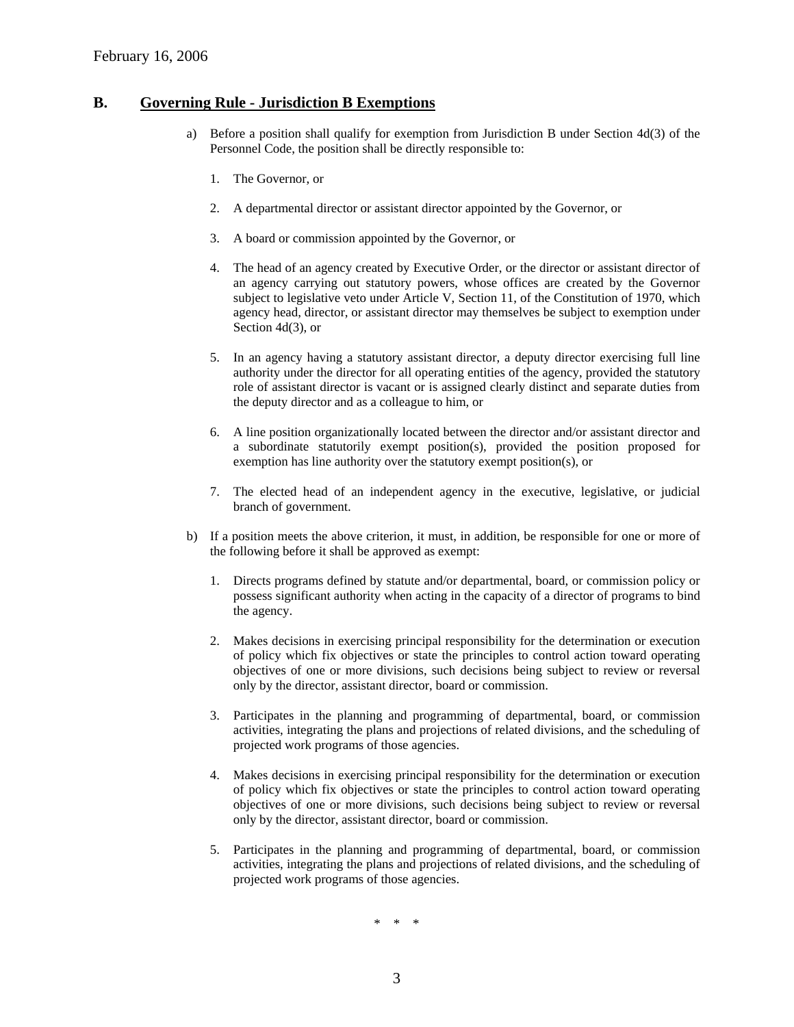#### **B. Governing Rule - Jurisdiction B Exemptions**

- a) Before a position shall qualify for exemption from Jurisdiction B under Section 4d(3) of the Personnel Code, the position shall be directly responsible to:
	- 1. The Governor, or
	- 2. A departmental director or assistant director appointed by the Governor, or
	- 3. A board or commission appointed by the Governor, or
	- 4. The head of an agency created by Executive Order, or the director or assistant director of an agency carrying out statutory powers, whose offices are created by the Governor subject to legislative veto under Article V, Section 11, of the Constitution of 1970, which agency head, director, or assistant director may themselves be subject to exemption under Section 4d(3), or
	- 5. In an agency having a statutory assistant director, a deputy director exercising full line authority under the director for all operating entities of the agency, provided the statutory role of assistant director is vacant or is assigned clearly distinct and separate duties from the deputy director and as a colleague to him, or
	- 6. A line position organizationally located between the director and/or assistant director and a subordinate statutorily exempt position(s), provided the position proposed for exemption has line authority over the statutory exempt position(s), or
	- 7. The elected head of an independent agency in the executive, legislative, or judicial branch of government.
- b) If a position meets the above criterion, it must, in addition, be responsible for one or more of the following before it shall be approved as exempt:
	- 1. Directs programs defined by statute and/or departmental, board, or commission policy or possess significant authority when acting in the capacity of a director of programs to bind the agency.
	- 2. Makes decisions in exercising principal responsibility for the determination or execution of policy which fix objectives or state the principles to control action toward operating objectives of one or more divisions, such decisions being subject to review or reversal only by the director, assistant director, board or commission.
	- 3. Participates in the planning and programming of departmental, board, or commission activities, integrating the plans and projections of related divisions, and the scheduling of projected work programs of those agencies.
	- 4. Makes decisions in exercising principal responsibility for the determination or execution of policy which fix objectives or state the principles to control action toward operating objectives of one or more divisions, such decisions being subject to review or reversal only by the director, assistant director, board or commission.
	- 5. Participates in the planning and programming of departmental, board, or commission activities, integrating the plans and projections of related divisions, and the scheduling of projected work programs of those agencies.

\* \* \*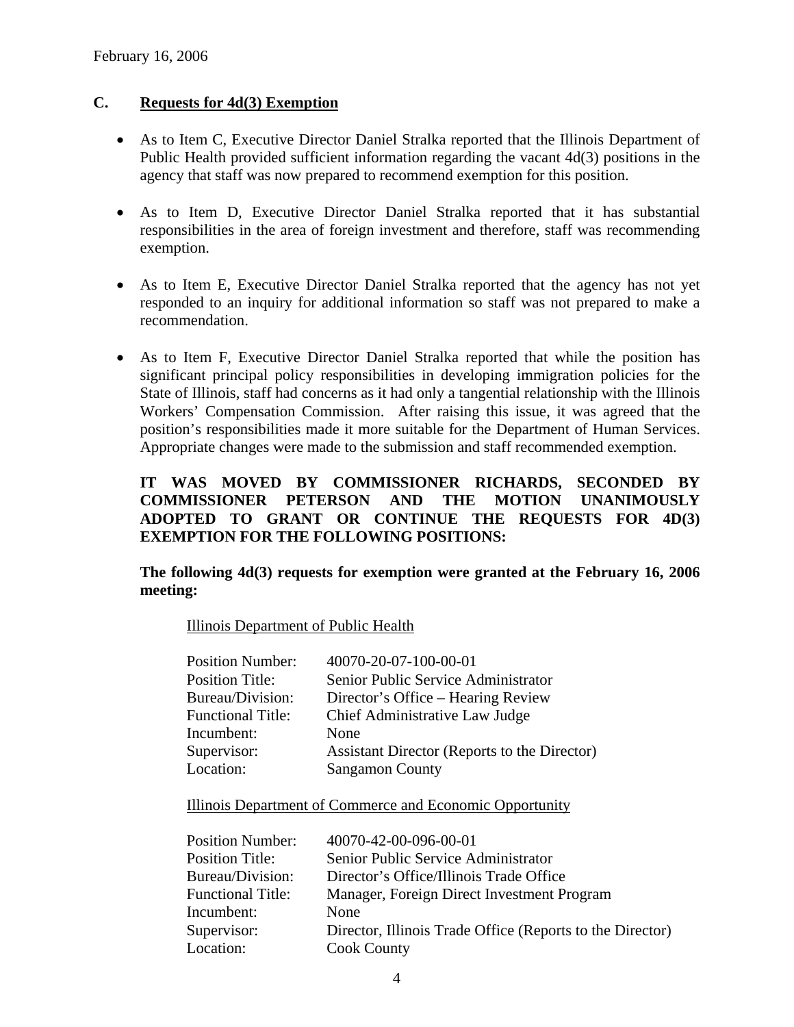# **C. Requests for 4d(3) Exemption**

- As to Item C, Executive Director Daniel Stralka reported that the Illinois Department of Public Health provided sufficient information regarding the vacant 4d(3) positions in the agency that staff was now prepared to recommend exemption for this position.
- As to Item D, Executive Director Daniel Stralka reported that it has substantial responsibilities in the area of foreign investment and therefore, staff was recommending exemption.
- As to Item E, Executive Director Daniel Stralka reported that the agency has not yet responded to an inquiry for additional information so staff was not prepared to make a recommendation.
- As to Item F, Executive Director Daniel Stralka reported that while the position has significant principal policy responsibilities in developing immigration policies for the State of Illinois, staff had concerns as it had only a tangential relationship with the Illinois Workers' Compensation Commission. After raising this issue, it was agreed that the position's responsibilities made it more suitable for the Department of Human Services. Appropriate changes were made to the submission and staff recommended exemption.

# **IT WAS MOVED BY COMMISSIONER RICHARDS, SECONDED BY COMMISSIONER PETERSON AND THE MOTION UNANIMOUSLY ADOPTED TO GRANT OR CONTINUE THE REQUESTS FOR 4D(3) EXEMPTION FOR THE FOLLOWING POSITIONS:**

### **The following 4d(3) requests for exemption were granted at the February 16, 2006 meeting:**

Illinois Department of Public Health

| <b>Position Number:</b>  | 40070-20-07-100-00-01                        |
|--------------------------|----------------------------------------------|
| <b>Position Title:</b>   | Senior Public Service Administrator          |
| Bureau/Division:         | Director's Office – Hearing Review           |
| <b>Functional Title:</b> | Chief Administrative Law Judge               |
| Incumbent:               | None                                         |
| Supervisor:              | Assistant Director (Reports to the Director) |
| Location:                | <b>Sangamon County</b>                       |

Illinois Department of Commerce and Economic Opportunity

| <b>Position Number:</b>  | 40070-42-00-096-00-01                                     |
|--------------------------|-----------------------------------------------------------|
| <b>Position Title:</b>   | Senior Public Service Administrator                       |
| Bureau/Division:         | Director's Office/Illinois Trade Office                   |
| <b>Functional Title:</b> | Manager, Foreign Direct Investment Program                |
| Incumbent:               | None                                                      |
| Supervisor:              | Director, Illinois Trade Office (Reports to the Director) |
| Location:                | <b>Cook County</b>                                        |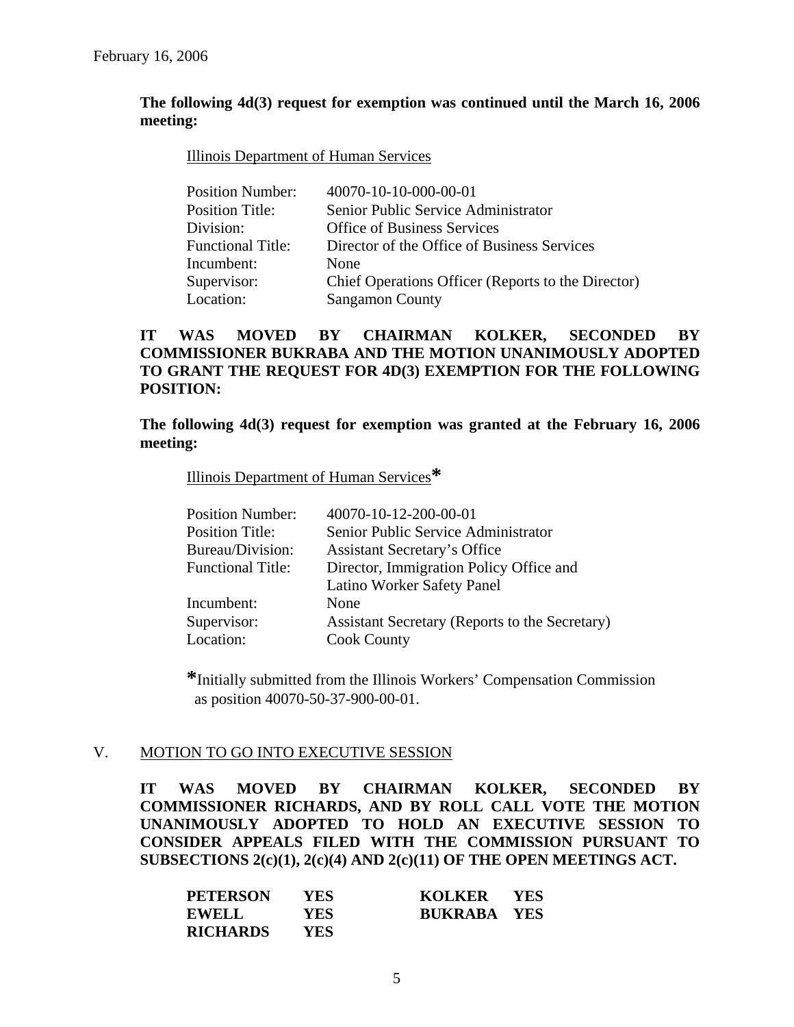### **The following 4d(3) request for exemption was continued until the March 16, 2006 meeting:**

#### Illinois Department of Human Services

| <b>Position Number:</b>  | 40070-10-10-000-00-01                              |
|--------------------------|----------------------------------------------------|
| <b>Position Title:</b>   | Senior Public Service Administrator                |
| Division:                | <b>Office of Business Services</b>                 |
| <b>Functional Title:</b> | Director of the Office of Business Services        |
| Incumbent:               | None                                               |
| Supervisor:              | Chief Operations Officer (Reports to the Director) |
| Location:                | <b>Sangamon County</b>                             |

## **IT WAS MOVED BY CHAIRMAN KOLKER, SECONDED BY COMMISSIONER BUKRABA AND THE MOTION UNANIMOUSLY ADOPTED TO GRANT THE REQUEST FOR 4D(3) EXEMPTION FOR THE FOLLOWING POSITION:**

### **The following 4d(3) request for exemption was granted at the February 16, 2006 meeting:**

#### Illinois Department of Human Services**\***

| <b>Position Number:</b>  | 40070-10-12-200-00-01                          |
|--------------------------|------------------------------------------------|
| <b>Position Title:</b>   | Senior Public Service Administrator            |
| Bureau/Division:         | <b>Assistant Secretary's Office</b>            |
| <b>Functional Title:</b> | Director, Immigration Policy Office and        |
|                          | Latino Worker Safety Panel                     |
| Incumbent:               | None                                           |
| Supervisor:              | Assistant Secretary (Reports to the Secretary) |
| Location:                | <b>Cook County</b>                             |
|                          |                                                |

 **\***Initially submitted from the Illinois Workers' Compensation Commission as position 40070-50-37-900-00-01.

### V. MOTION TO GO INTO EXECUTIVE SESSION

**IT WAS MOVED BY CHAIRMAN KOLKER, SECONDED BY COMMISSIONER RICHARDS, AND BY ROLL CALL VOTE THE MOTION UNANIMOUSLY ADOPTED TO HOLD AN EXECUTIVE SESSION TO CONSIDER APPEALS FILED WITH THE COMMISSION PURSUANT TO SUBSECTIONS 2(c)(1), 2(c)(4) AND 2(c)(11) OF THE OPEN MEETINGS ACT.** 

| <b>PETERSON</b> | <b>YES</b> | KOLKER YES         |  |
|-----------------|------------|--------------------|--|
| <b>EWELL</b>    | <b>YES</b> | <b>BUKRABA YES</b> |  |
| <b>RICHARDS</b> | YES.       |                    |  |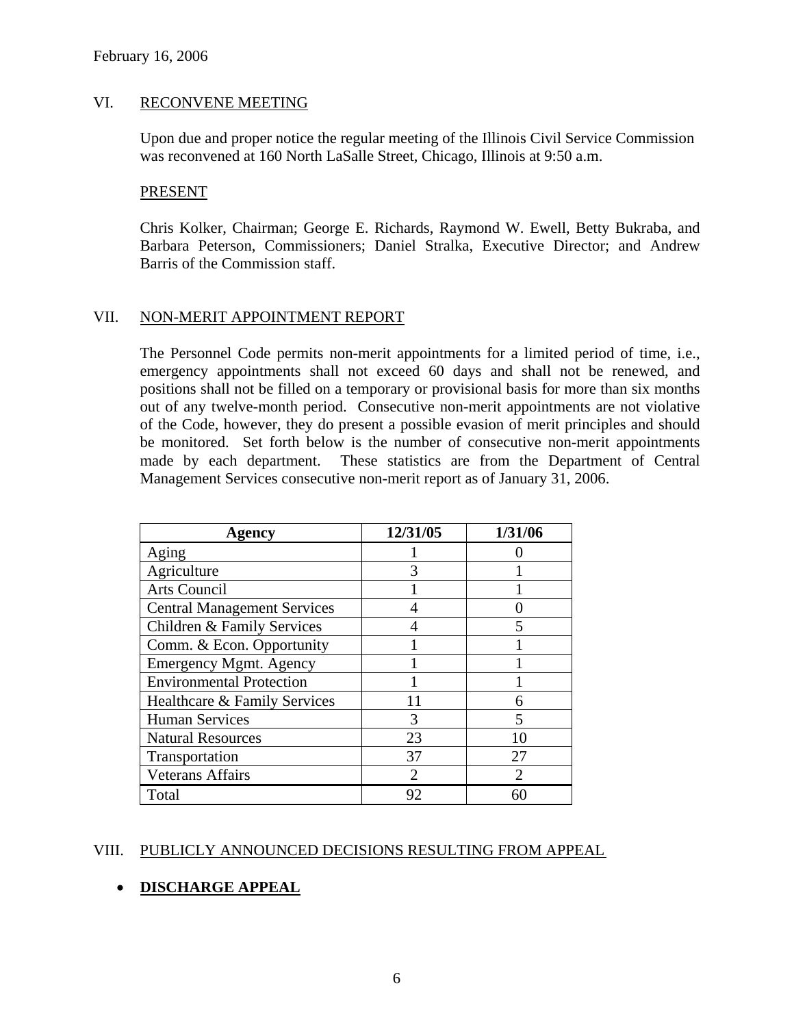#### VI. RECONVENE MEETING

Upon due and proper notice the regular meeting of the Illinois Civil Service Commission was reconvened at 160 North LaSalle Street, Chicago, Illinois at 9:50 a.m.

#### PRESENT

Chris Kolker, Chairman; George E. Richards, Raymond W. Ewell, Betty Bukraba, and Barbara Peterson, Commissioners; Daniel Stralka, Executive Director; and Andrew Barris of the Commission staff.

### VII. NON-MERIT APPOINTMENT REPORT

The Personnel Code permits non-merit appointments for a limited period of time, i.e., emergency appointments shall not exceed 60 days and shall not be renewed, and positions shall not be filled on a temporary or provisional basis for more than six months out of any twelve-month period. Consecutive non-merit appointments are not violative of the Code, however, they do present a possible evasion of merit principles and should be monitored. Set forth below is the number of consecutive non-merit appointments made by each department. These statistics are from the Department of Central Management Services consecutive non-merit report as of January 31, 2006.

| Agency                             | 12/31/05 | 1/31/06 |
|------------------------------------|----------|---------|
| Aging                              |          |         |
| Agriculture                        |          |         |
| <b>Arts Council</b>                |          |         |
| <b>Central Management Services</b> |          |         |
| Children & Family Services         |          |         |
| Comm. & Econ. Opportunity          |          |         |
| <b>Emergency Mgmt. Agency</b>      |          |         |
| <b>Environmental Protection</b>    |          |         |
| Healthcare & Family Services       |          |         |
| <b>Human Services</b>              | 3        |         |
| <b>Natural Resources</b>           | 23       | 10      |
| Transportation                     | 37       | 27      |
| <b>Veterans Affairs</b>            |          |         |
| Total                              | 92       |         |

### VIII. PUBLICLY ANNOUNCED DECISIONS RESULTING FROM APPEAL

## • **DISCHARGE APPEAL**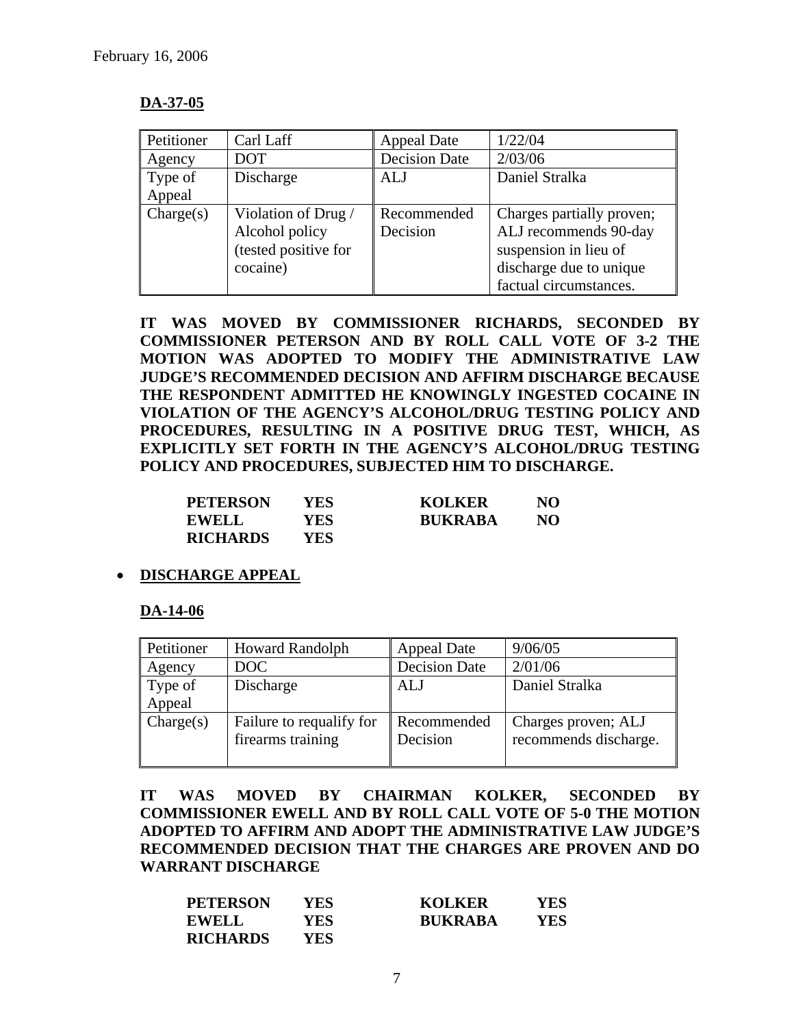## **DA-37-05**

| Petitioner | Carl Laff            | <b>Appeal Date</b>   | 1/22/04                   |
|------------|----------------------|----------------------|---------------------------|
| Agency     | <b>DOT</b>           | <b>Decision Date</b> | 2/03/06                   |
| Type of    | Discharge            | <b>ALJ</b>           | Daniel Stralka            |
| Appeal     |                      |                      |                           |
| Change(s)  | Violation of Drug /  | Recommended          | Charges partially proven; |
|            | Alcohol policy       | Decision             | ALJ recommends 90-day     |
|            | (tested positive for |                      | suspension in lieu of     |
|            | cocaine)             |                      | discharge due to unique   |
|            |                      |                      | factual circumstances.    |

**IT WAS MOVED BY COMMISSIONER RICHARDS, SECONDED BY COMMISSIONER PETERSON AND BY ROLL CALL VOTE OF 3-2 THE MOTION WAS ADOPTED TO MODIFY THE ADMINISTRATIVE LAW JUDGE'S RECOMMENDED DECISION AND AFFIRM DISCHARGE BECAUSE THE RESPONDENT ADMITTED HE KNOWINGLY INGESTED COCAINE IN VIOLATION OF THE AGENCY'S ALCOHOL/DRUG TESTING POLICY AND PROCEDURES, RESULTING IN A POSITIVE DRUG TEST, WHICH, AS EXPLICITLY SET FORTH IN THE AGENCY'S ALCOHOL/DRUG TESTING POLICY AND PROCEDURES, SUBJECTED HIM TO DISCHARGE.** 

| <b>PETERSON</b> | YES  | <b>KOLKER</b>  | NO |
|-----------------|------|----------------|----|
| <b>EWELL</b>    | YES. | <b>RUKRABA</b> | NO |
| <b>RICHARDS</b> | YES. |                |    |

### • **DISCHARGE APPEAL**

### **DA-14-06**

| Petitioner        | <b>Howard Randolph</b>                        | <b>Appeal Date</b>      | 9/06/05                                      |
|-------------------|-----------------------------------------------|-------------------------|----------------------------------------------|
| Agency            | DOC                                           | <b>Decision Date</b>    | 2/01/06                                      |
| Type of<br>Appeal | Discharge                                     | <b>ALJ</b>              | Daniel Stralka                               |
| Change(s)         | Failure to requalify for<br>firearms training | Recommended<br>Decision | Charges proven; ALJ<br>recommends discharge. |

**IT WAS MOVED BY CHAIRMAN KOLKER, SECONDED BY COMMISSIONER EWELL AND BY ROLL CALL VOTE OF 5-0 THE MOTION ADOPTED TO AFFIRM AND ADOPT THE ADMINISTRATIVE LAW JUDGE'S RECOMMENDED DECISION THAT THE CHARGES ARE PROVEN AND DO WARRANT DISCHARGE** 

| <b>PETERSON</b> | YES  | <b>KOLKER</b>  | YES |
|-----------------|------|----------------|-----|
| <b>EWELL</b>    | YES. | <b>BUKRABA</b> | YES |
| <b>RICHARDS</b> | YES. |                |     |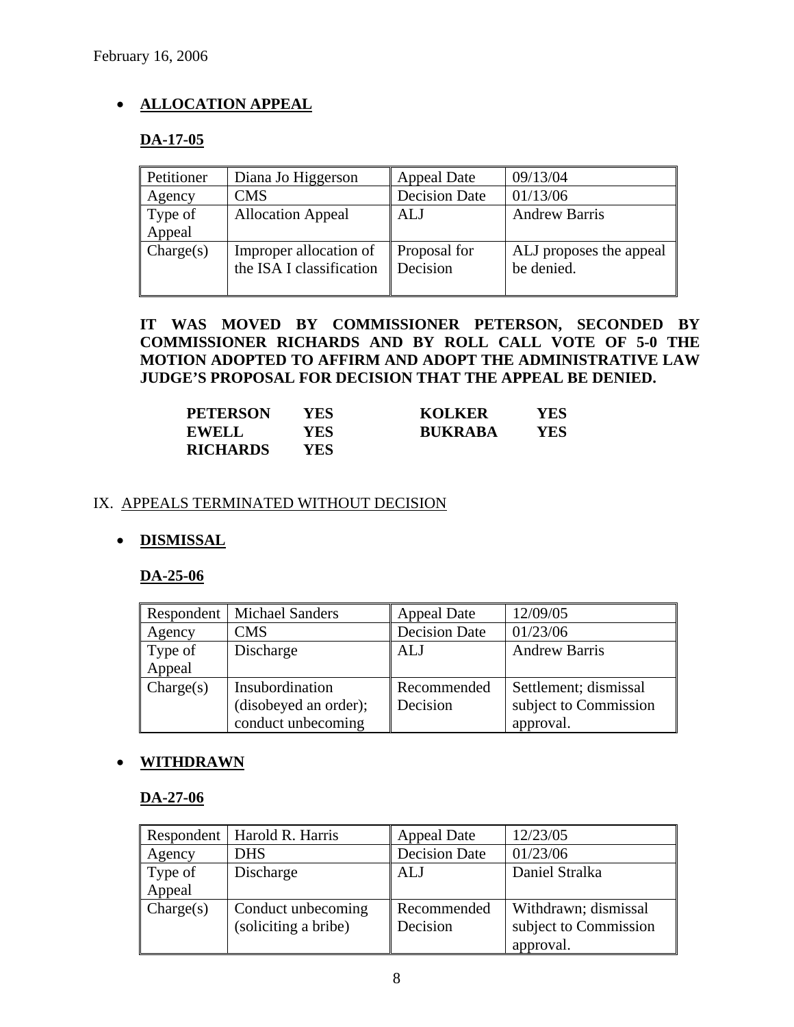# • **ALLOCATION APPEAL**

# **DA-17-05**

| Petitioner | Diana Jo Higgerson                                 | <b>Appeal Date</b>       | 09/13/04                              |
|------------|----------------------------------------------------|--------------------------|---------------------------------------|
| Agency     | <b>CMS</b>                                         | <b>Decision Date</b>     | 01/13/06                              |
| Type of    | <b>Allocation Appeal</b>                           | ALJ                      | <b>Andrew Barris</b>                  |
| Appeal     |                                                    |                          |                                       |
| Change(s)  | Improper allocation of<br>the ISA I classification | Proposal for<br>Decision | ALJ proposes the appeal<br>be denied. |
|            |                                                    |                          |                                       |

**IT WAS MOVED BY COMMISSIONER PETERSON, SECONDED BY COMMISSIONER RICHARDS AND BY ROLL CALL VOTE OF 5-0 THE MOTION ADOPTED TO AFFIRM AND ADOPT THE ADMINISTRATIVE LAW JUDGE'S PROPOSAL FOR DECISION THAT THE APPEAL BE DENIED.** 

| <b>PETERSON</b> | YES | <b>KOLKER</b>  | YES |
|-----------------|-----|----------------|-----|
| <b>EWELL</b>    | YES | <b>RUKRABA</b> | YES |
| <b>RICHARDS</b> | YES |                |     |

### IX. APPEALS TERMINATED WITHOUT DECISION

## • **DISMISSAL**

## **DA-25-06**

|                   | Respondent   Michael Sanders                                   | <b>Appeal Date</b>      | 12/09/05                                                    |
|-------------------|----------------------------------------------------------------|-------------------------|-------------------------------------------------------------|
| Agency            | <b>CMS</b>                                                     | <b>Decision Date</b>    | 01/23/06                                                    |
| Type of<br>Appeal | Discharge                                                      | <b>ALJ</b>              | <b>Andrew Barris</b>                                        |
| Change(s)         | Insubordination<br>(disobeyed an order);<br>conduct unbecoming | Recommended<br>Decision | Settlement; dismissal<br>subject to Commission<br>approval. |

## • **WITHDRAWN**

### **DA-27-06**

|           | Respondent   Harold R. Harris | <b>Appeal Date</b>   | 12/23/05              |
|-----------|-------------------------------|----------------------|-----------------------|
| Agency    | <b>DHS</b>                    | <b>Decision Date</b> | 01/23/06              |
| Type of   | Discharge                     | ALJ                  | Daniel Stralka        |
| Appeal    |                               |                      |                       |
| Change(s) | Conduct unbecoming            | Recommended          | Withdrawn; dismissal  |
|           | (soliciting a bribe)          | Decision             | subject to Commission |
|           |                               |                      | approval.             |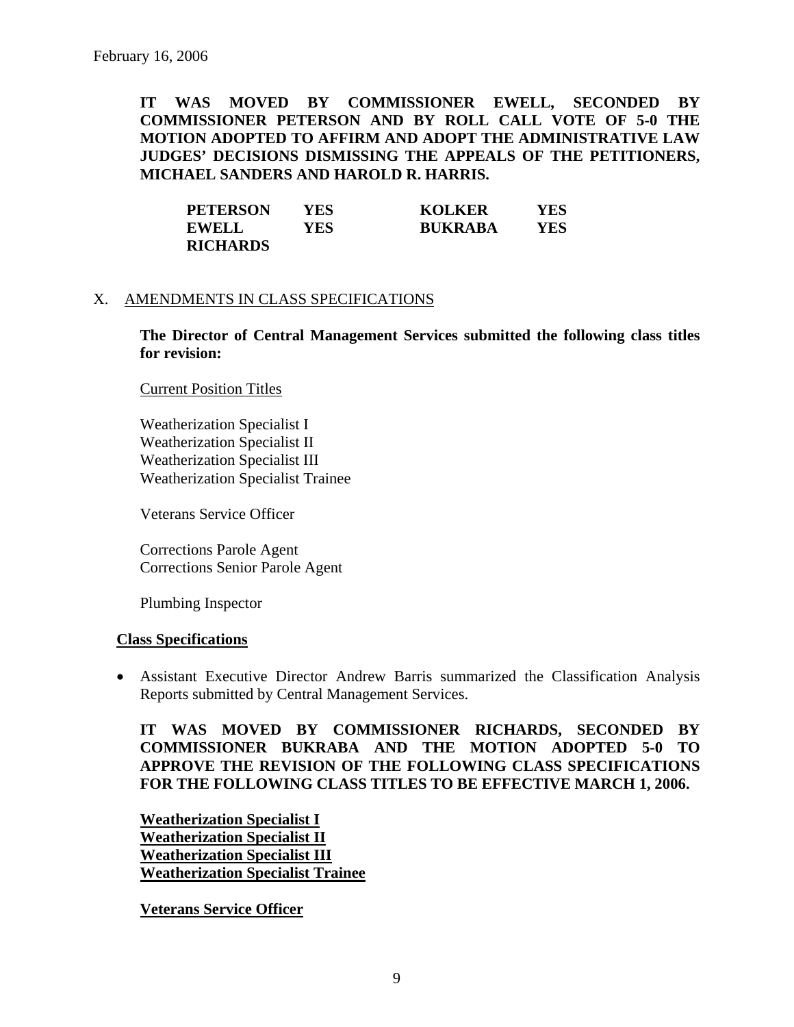**IT WAS MOVED BY COMMISSIONER EWELL, SECONDED BY COMMISSIONER PETERSON AND BY ROLL CALL VOTE OF 5-0 THE MOTION ADOPTED TO AFFIRM AND ADOPT THE ADMINISTRATIVE LAW JUDGES' DECISIONS DISMISSING THE APPEALS OF THE PETITIONERS, MICHAEL SANDERS AND HAROLD R. HARRIS.** 

| <b>PETERSON</b> | YES. | <b>KOLKER</b>  | YES |
|-----------------|------|----------------|-----|
| <b>EWELL</b>    | YES  | <b>BUKRABA</b> | YES |
| <b>RICHARDS</b> |      |                |     |

### X. AMENDMENTS IN CLASS SPECIFICATIONS

**The Director of Central Management Services submitted the following class titles for revision:** 

Current Position Titles

Weatherization Specialist I Weatherization Specialist II Weatherization Specialist III Weatherization Specialist Trainee

Veterans Service Officer

Corrections Parole Agent Corrections Senior Parole Agent

Plumbing Inspector

#### **Class Specifications**

• Assistant Executive Director Andrew Barris summarized the Classification Analysis Reports submitted by Central Management Services.

**IT WAS MOVED BY COMMISSIONER RICHARDS, SECONDED BY COMMISSIONER BUKRABA AND THE MOTION ADOPTED 5-0 TO APPROVE THE REVISION OF THE FOLLOWING CLASS SPECIFICATIONS FOR THE FOLLOWING CLASS TITLES TO BE EFFECTIVE MARCH 1, 2006.** 

**Weatherization Specialist I Weatherization Specialist II Weatherization Specialist III Weatherization Specialist Trainee**

**Veterans Service Officer**